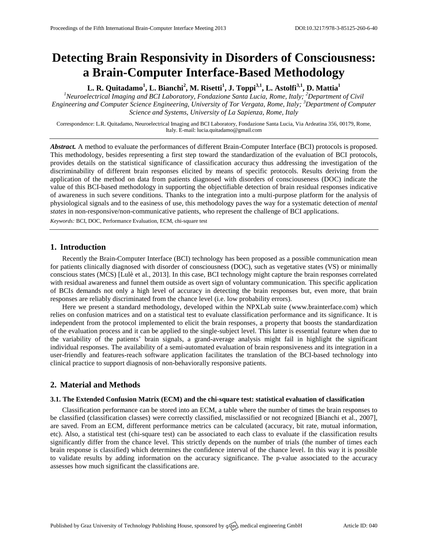# **Detecting Brain Responsivity in Disorders of Consciousness: a Brain-Computer Interface-Based Methodology**

**L. R. Quitadamo<sup>1</sup> , L. Bianchi<sup>2</sup> , M. Risetti<sup>1</sup> , J. Toppi3,1, L. Astolfi3,1 , D. Mattia<sup>1</sup>**

*<sup>1</sup>Neuroelectrical Imaging and BCI Laboratory, Fondazione Santa Lucia, Rome, Italy; <sup>2</sup>Department of Civil Engineering and Computer Science Engineering, University of Tor Vergata, Rome, Italy; <sup>3</sup>Department of Computer Science and Systems, University of La Sapienza, Rome, Italy*

Correspondence: L.R. Quitadamo, Neuroelectrical Imaging and BCI Laboratory, Fondazione Santa Lucia, Via Ardeatina 356, 00179, Rome, Italy. E-mail[: lucia.quitadamo@gmail.com](mailto:corresponding.author@address.com)

*Abstract.* A method to evaluate the performances of different Brain-Computer Interface (BCI) protocols is proposed. This methodology, besides representing a first step toward the standardization of the evaluation of BCI protocols, provides details on the statistical significance of classification accuracy thus addressing the investigation of the discriminability of different brain responses elicited by means of specific protocols. Results deriving from the application of the method on data from patients diagnosed with disorders of consciouseness (DOC) indicate the value of this BCI-based methodology in supporting the objectifiable detection of brain residual responses indicative of awareness in such severe conditions. Thanks to the integration into a multi-purpose platform for the analysis of physiological signals and to the easiness of use, this methodology paves the way for a systematic detection of *mental states* in non-responsive/non-communicative patients, who represent the challenge of BCI applications.

*Keywords:* BCI, DOC, Performance Evaluation, ECM, chi-square test

# **1. Introduction**

Recently the Brain-Computer Interface (BCI) technology has been proposed as a possible communication mean for patients clinically diagnosed with disorder of consciousness (DOC), such as vegetative states (VS) or minimally conscious states (MCS) [Lulè et al., 2013]. In this case, BCI technology might capture the brain responses correlated with residual awareness and funnel them outside as overt sign of voluntary communication. This specific application of BCIs demands not only a high level of accuracy in detecting the brain responses but, even more, that brain responses are reliably discriminated from the chance level (i.e. low probability errors).

Here we present a standard methodology, developed within the NPXLab suite [\(www.brainterface.com\)](http://www.brainterface.com/) which relies on confusion matrices and on a statistical test to evaluate classification performance and its significance. It is independent from the protocol implemented to elicit the brain responses, a property that boosts the standardization of the evaluation process and it can be applied to the single-subject level. This latter is essential feature when due to the variability of the patients' brain signals, a grand-average analysis might fail in highlight the significant individual responses. The availability of a semi-automated evaluation of brain responsiveness and its integration in a user-friendly and features-reach software application facilitates the translation of the BCI-based technology into clinical practice to support diagnosis of non-behaviorally responsive patients.

# **2. Material and Methods**

## **3.1. The Extended Confusion Matrix (ECM) and the chi-square test: statistical evaluation of classification**

Classification performance can be stored into an ECM, a table where the number of times the brain responses to be classified (classification classes) were correctly classified, misclassified or not recognized [Bianchi et al., 2007], are saved. From an ECM, different performance metrics can be calculated (accuracy, bit rate, mutual information, etc). Also, a statistical test (chi-square test) can be associated to each class to evaluate if the classification results significantly differ from the chance level. This strictly depends on the number of trials (the number of times each brain response is classified) which determines the confidence interval of the chance level. In this way it is possible to validate results by adding information on the accuracy significance. The p-value associated to the accuracy assesses how much significant the classifications are.